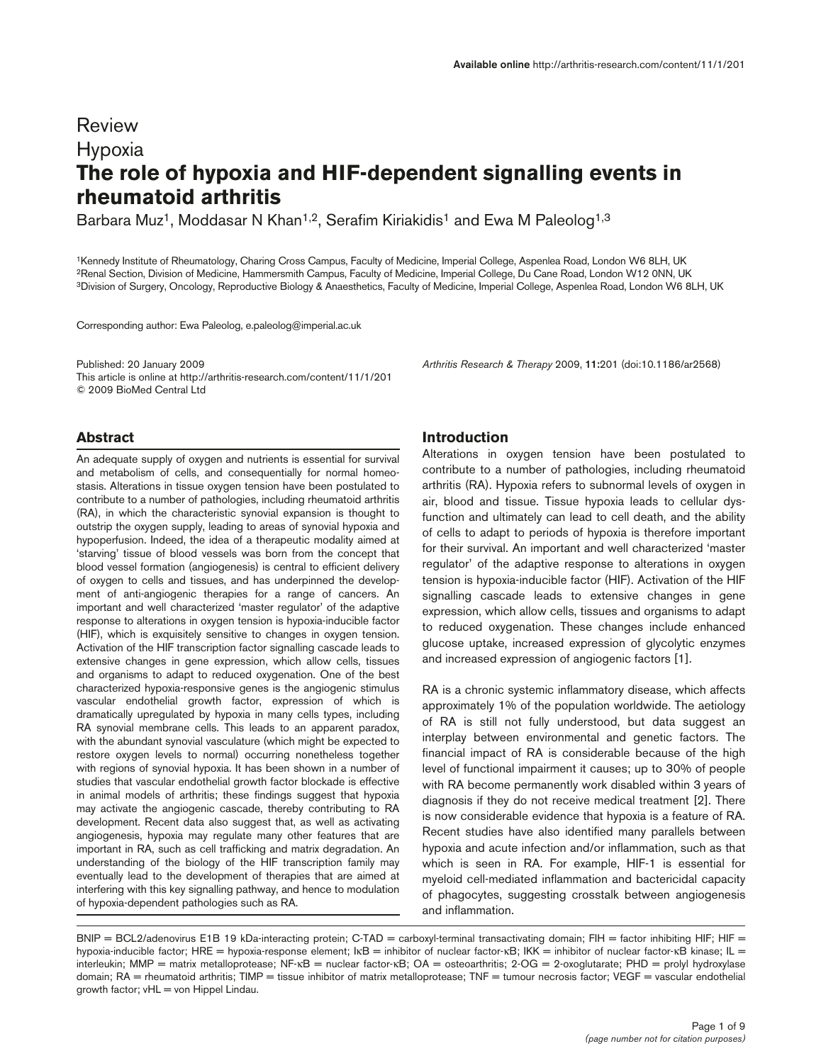# Review Hypoxia **The role of hypoxia and HIF-dependent signalling events in rheumatoid arthritis**

Barbara Muz<sup>1</sup>, Moddasar N Khan<sup>1,2</sup>, Serafim Kiriakidis<sup>1</sup> and Ewa M Paleolog<sup>1,3</sup>

1Kennedy Institute of Rheumatology, Charing Cross Campus, Faculty of Medicine, Imperial College, Aspenlea Road, London W6 8LH, UK 2Renal Section, Division of Medicine, Hammersmith Campus, Faculty of Medicine, Imperial College, Du Cane Road, London W12 0NN, UK 3Division of Surgery, Oncology, Reproductive Biology & Anaesthetics, Faculty of Medicine, Imperial College, Aspenlea Road, London W6 8LH, UK

Corresponding author: Ewa Paleolog, e.paleolog@imperial.ac.uk

Published: 20 January 2009 *Arthritis Research & Therapy* 2009, **11:**201 (doi:10.1186/ar2568) This article is online at http://arthritis-research.com/content/11/1/201 © 2009 BioMed Central Ltd

# **Abstract**

An adequate supply of oxygen and nutrients is essential for survival and metabolism of cells, and consequentially for normal homeostasis. Alterations in tissue oxygen tension have been postulated to contribute to a number of pathologies, including rheumatoid arthritis (RA), in which the characteristic synovial expansion is thought to outstrip the oxygen supply, leading to areas of synovial hypoxia and hypoperfusion. Indeed, the idea of a therapeutic modality aimed at 'starving' tissue of blood vessels was born from the concept that blood vessel formation (angiogenesis) is central to efficient delivery of oxygen to cells and tissues, and has underpinned the development of anti-angiogenic therapies for a range of cancers. An important and well characterized 'master regulator' of the adaptive response to alterations in oxygen tension is hypoxia-inducible factor (HIF), which is exquisitely sensitive to changes in oxygen tension. Activation of the HIF transcription factor signalling cascade leads to extensive changes in gene expression, which allow cells, tissues and organisms to adapt to reduced oxygenation. One of the best characterized hypoxia-responsive genes is the angiogenic stimulus vascular endothelial growth factor, expression of which is dramatically upregulated by hypoxia in many cells types, including RA synovial membrane cells. This leads to an apparent paradox, with the abundant synovial vasculature (which might be expected to restore oxygen levels to normal) occurring nonetheless together with regions of synovial hypoxia. It has been shown in a number of studies that vascular endothelial growth factor blockade is effective in animal models of arthritis; these findings suggest that hypoxia may activate the angiogenic cascade, thereby contributing to RA development. Recent data also suggest that, as well as activating angiogenesis, hypoxia may regulate many other features that are important in RA, such as cell trafficking and matrix degradation. An understanding of the biology of the HIF transcription family may eventually lead to the development of therapies that are aimed at interfering with this key signalling pathway, and hence to modulation of hypoxia-dependent pathologies such as RA.

### **Introduction**

Alterations in oxygen tension have been postulated to contribute to a number of pathologies, including rheumatoid arthritis (RA). Hypoxia refers to subnormal levels of oxygen in air, blood and tissue. Tissue hypoxia leads to cellular dysfunction and ultimately can lead to cell death, and the ability of cells to adapt to periods of hypoxia is therefore important for their survival. An important and well characterized 'master regulator' of the adaptive response to alterations in oxygen tension is hypoxia-inducible factor (HIF). Activation of the HIF signalling cascade leads to extensive changes in gene expression, which allow cells, tissues and organisms to adapt to reduced oxygenation. These changes include enhanced glucose uptake, increased expression of glycolytic enzymes and increased expression of angiogenic factors [1].

RA is a chronic systemic inflammatory disease, which affects approximately 1% of the population worldwide. The aetiology of RA is still not fully understood, but data suggest an interplay between environmental and genetic factors. The financial impact of RA is considerable because of the high level of functional impairment it causes; up to 30% of people with RA become permanently work disabled within 3 years of diagnosis if they do not receive medical treatment [2]. There is now considerable evidence that hypoxia is a feature of RA. Recent studies have also identified many parallels between hypoxia and acute infection and/or inflammation, such as that which is seen in RA. For example, HIF-1 is essential for myeloid cell-mediated inflammation and bactericidal capacity of phagocytes, suggesting crosstalk between angiogenesis and inflammation.

BNIP = BCL2/adenovirus E1B 19 kDa-interacting protein; C-TAD = carboxyl-terminal transactivating domain; FIH = factor inhibiting HIF; HIF = hypoxia-inducible factor; HRE = hypoxia-response element; IκB = inhibitor of nuclear factor-κB; IKK = inhibitor of nuclear factor-κB kinase; IL = interleukin; MMP = matrix metalloprotease; NF-κB = nuclear factor-κB; OA = osteoarthritis; 2-OG = 2-oxoglutarate; PHD = prolyl hydroxylase domain; RA = rheumatoid arthritis; TIMP = tissue inhibitor of matrix metalloprotease; TNF = tumour necrosis factor; VEGF = vascular endothelial growth factor; vHL = von Hippel Lindau.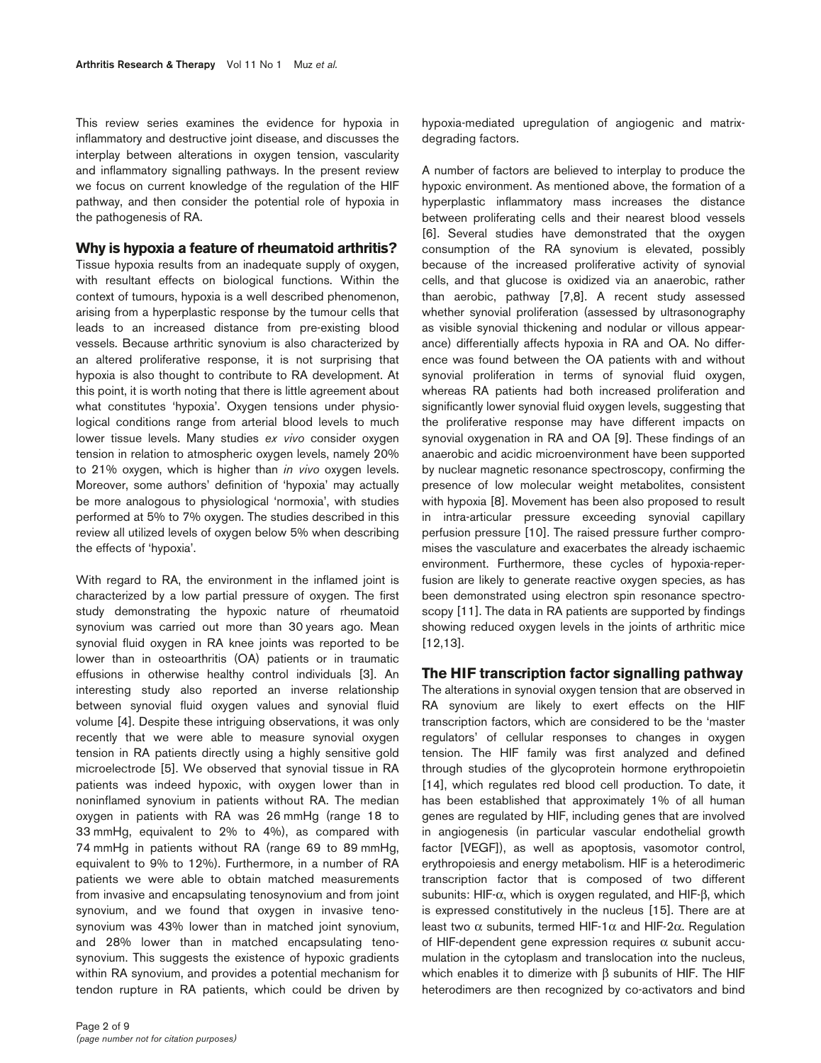This review series examines the evidence for hypoxia in inflammatory and destructive joint disease, and discusses the interplay between alterations in oxygen tension, vascularity and inflammatory signalling pathways. In the present review we focus on current knowledge of the regulation of the HIF pathway, and then consider the potential role of hypoxia in the pathogenesis of RA.

## **Why is hypoxia a feature of rheumatoid arthritis?**

Tissue hypoxia results from an inadequate supply of oxygen, with resultant effects on biological functions. Within the context of tumours, hypoxia is a well described phenomenon, arising from a hyperplastic response by the tumour cells that leads to an increased distance from pre-existing blood vessels. Because arthritic synovium is also characterized by an altered proliferative response, it is not surprising that hypoxia is also thought to contribute to RA development. At this point, it is worth noting that there is little agreement about what constitutes 'hypoxia'. Oxygen tensions under physiological conditions range from arterial blood levels to much lower tissue levels. Many studies *ex vivo* consider oxygen tension in relation to atmospheric oxygen levels, namely 20% to 21% oxygen, which is higher than *in vivo* oxygen levels. Moreover, some authors' definition of 'hypoxia' may actually be more analogous to physiological 'normoxia', with studies performed at 5% to 7% oxygen. The studies described in this review all utilized levels of oxygen below 5% when describing the effects of 'hypoxia'.

With regard to RA, the environment in the inflamed joint is characterized by a low partial pressure of oxygen. The first study demonstrating the hypoxic nature of rheumatoid synovium was carried out more than 30 years ago. Mean synovial fluid oxygen in RA knee joints was reported to be lower than in osteoarthritis (OA) patients or in traumatic effusions in otherwise healthy control individuals [3]. An interesting study also reported an inverse relationship between synovial fluid oxygen values and synovial fluid volume [4]. Despite these intriguing observations, it was only recently that we were able to measure synovial oxygen tension in RA patients directly using a highly sensitive gold microelectrode [5]. We observed that synovial tissue in RA patients was indeed hypoxic, with oxygen lower than in noninflamed synovium in patients without RA. The median oxygen in patients with RA was 26 mmHg (range 18 to 33 mmHg, equivalent to 2% to 4%), as compared with 74 mmHg in patients without RA (range 69 to 89 mmHg, equivalent to 9% to 12%). Furthermore, in a number of RA patients we were able to obtain matched measurements from invasive and encapsulating tenosynovium and from joint synovium, and we found that oxygen in invasive tenosynovium was 43% lower than in matched joint synovium, and 28% lower than in matched encapsulating tenosynovium. This suggests the existence of hypoxic gradients within RA synovium, and provides a potential mechanism for tendon rupture in RA patients, which could be driven by

hypoxia-mediated upregulation of angiogenic and matrixdegrading factors.

A number of factors are believed to interplay to produce the hypoxic environment. As mentioned above, the formation of a hyperplastic inflammatory mass increases the distance between proliferating cells and their nearest blood vessels [6]. Several studies have demonstrated that the oxygen consumption of the RA synovium is elevated, possibly because of the increased proliferative activity of synovial cells, and that glucose is oxidized via an anaerobic, rather than aerobic, pathway [7,8]. A recent study assessed whether synovial proliferation (assessed by ultrasonography as visible synovial thickening and nodular or villous appearance) differentially affects hypoxia in RA and OA. No difference was found between the OA patients with and without synovial proliferation in terms of synovial fluid oxygen, whereas RA patients had both increased proliferation and significantly lower synovial fluid oxygen levels, suggesting that the proliferative response may have different impacts on synovial oxygenation in RA and OA [9]. These findings of an anaerobic and acidic microenvironment have been supported by nuclear magnetic resonance spectroscopy, confirming the presence of low molecular weight metabolites, consistent with hypoxia [8]. Movement has been also proposed to result in intra-articular pressure exceeding synovial capillary perfusion pressure [10]. The raised pressure further compromises the vasculature and exacerbates the already ischaemic environment. Furthermore, these cycles of hypoxia-reperfusion are likely to generate reactive oxygen species, as has been demonstrated using electron spin resonance spectroscopy [11]. The data in RA patients are supported by findings showing reduced oxygen levels in the joints of arthritic mice [12,13].

## **The HIF transcription factor signalling pathway**

The alterations in synovial oxygen tension that are observed in RA synovium are likely to exert effects on the HIF transcription factors, which are considered to be the 'master regulators' of cellular responses to changes in oxygen tension. The HIF family was first analyzed and defined through studies of the glycoprotein hormone erythropoietin [14], which regulates red blood cell production. To date, it has been established that approximately 1% of all human genes are regulated by HIF, including genes that are involved in angiogenesis (in particular vascular endothelial growth factor [VEGF]), as well as apoptosis, vasomotor control, erythropoiesis and energy metabolism. HIF is a heterodimeric transcription factor that is composed of two different subunits: HIF-α, which is oxygen regulated, and HIF-β, which is expressed constitutively in the nucleus [15]. There are at least two  $\alpha$  subunits, termed HIF-1 $\alpha$  and HIF-2 $\alpha$ . Regulation of HIF-dependent gene expression requires  $\alpha$  subunit accumulation in the cytoplasm and translocation into the nucleus, which enables it to dimerize with β subunits of HIF. The HIF heterodimers are then recognized by co-activators and bind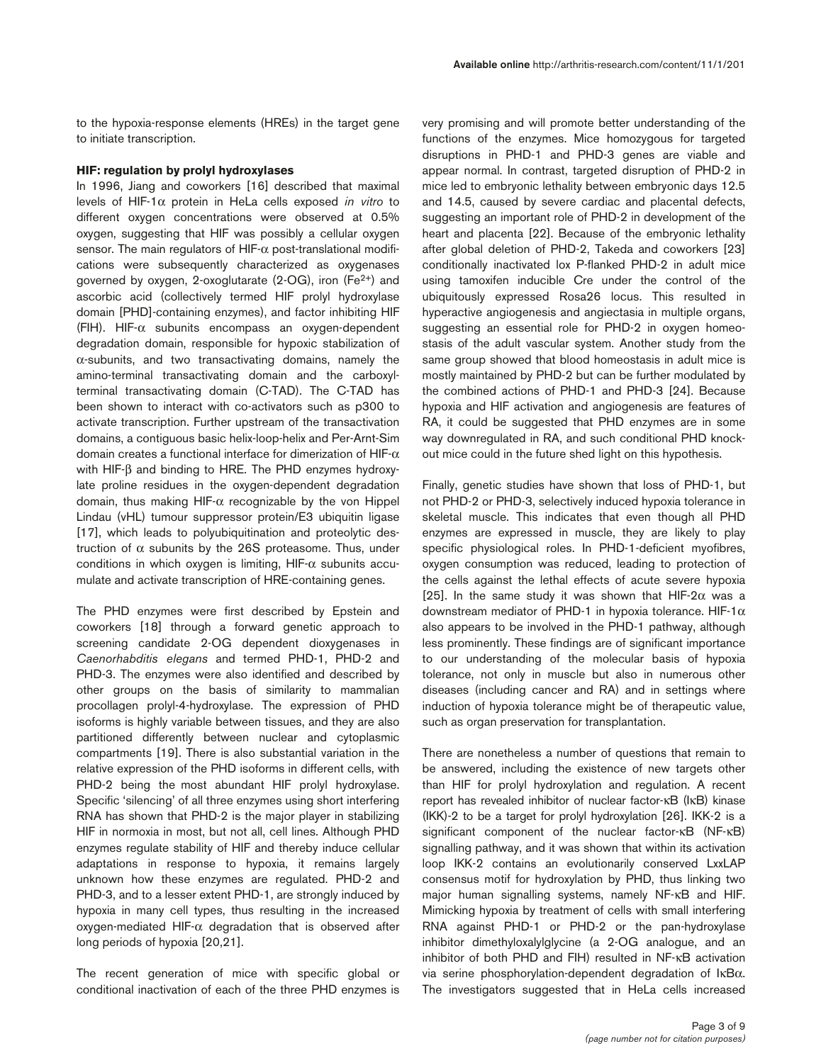## **HIF: regulation by prolyl hydroxylases**

In 1996, Jiang and coworkers [16] described that maximal levels of HIF-1α protein in HeLa cells exposed *in vitro* to different oxygen concentrations were observed at 0.5% oxygen, suggesting that HIF was possibly a cellular oxygen sensor. The main regulators of HIF-α post-translational modifications were subsequently characterized as oxygenases governed by oxygen, 2-oxoglutarate (2-OG), iron (Fe2+) and ascorbic acid (collectively termed HIF prolyl hydroxylase domain [PHD]-containing enzymes), and factor inhibiting HIF (FIH). HIF-α subunits encompass an oxygen-dependent degradation domain, responsible for hypoxic stabilization of α-subunits, and two transactivating domains, namely the amino-terminal transactivating domain and the carboxylterminal transactivating domain (C-TAD). The C-TAD has been shown to interact with co-activators such as p300 to activate transcription. Further upstream of the transactivation domains, a contiguous basic helix-loop-helix and Per-Arnt-Sim domain creates a functional interface for dimerization of  $HIF-\alpha$ with HIF-β and binding to HRE. The PHD enzymes hydroxylate proline residues in the oxygen-dependent degradation domain, thus making HIF-α recognizable by the von Hippel Lindau (vHL) tumour suppressor protein/E3 ubiquitin ligase [17], which leads to polyubiquitination and proteolytic destruction of α subunits by the 26S proteasome. Thus, under conditions in which oxygen is limiting,  $HIF-\alpha$  subunits accumulate and activate transcription of HRE-containing genes.

The PHD enzymes were first described by Epstein and coworkers [18] through a forward genetic approach to screening candidate 2-OG dependent dioxygenases in *Caenorhabditis elegans* and termed PHD-1, PHD-2 and PHD-3. The enzymes were also identified and described by other groups on the basis of similarity to mammalian procollagen prolyl-4-hydroxylase. The expression of PHD isoforms is highly variable between tissues, and they are also partitioned differently between nuclear and cytoplasmic compartments [19]. There is also substantial variation in the relative expression of the PHD isoforms in different cells, with PHD-2 being the most abundant HIF prolyl hydroxylase. Specific 'silencing' of all three enzymes using short interfering RNA has shown that PHD-2 is the major player in stabilizing HIF in normoxia in most, but not all, cell lines. Although PHD enzymes regulate stability of HIF and thereby induce cellular adaptations in response to hypoxia, it remains largely unknown how these enzymes are regulated. PHD-2 and PHD-3, and to a lesser extent PHD-1, are strongly induced by hypoxia in many cell types, thus resulting in the increased  $oxygen-mediated HIF- $\alpha$  degradation that is observed after$ long periods of hypoxia [20,21].

The recent generation of mice with specific global or conditional inactivation of each of the three PHD enzymes is

very promising and will promote better understanding of the functions of the enzymes. Mice homozygous for targeted disruptions in PHD-1 and PHD-3 genes are viable and appear normal. In contrast, targeted disruption of PHD-2 in mice led to embryonic lethality between embryonic days 12.5 and 14.5, caused by severe cardiac and placental defects, suggesting an important role of PHD-2 in development of the heart and placenta [22]. Because of the embryonic lethality after global deletion of PHD-2, Takeda and coworkers [23] conditionally inactivated lox P-flanked PHD-2 in adult mice using tamoxifen inducible Cre under the control of the ubiquitously expressed Rosa26 locus. This resulted in hyperactive angiogenesis and angiectasia in multiple organs, suggesting an essential role for PHD-2 in oxygen homeostasis of the adult vascular system. Another study from the same group showed that blood homeostasis in adult mice is mostly maintained by PHD-2 but can be further modulated by the combined actions of PHD-1 and PHD-3 [24]. Because hypoxia and HIF activation and angiogenesis are features of RA, it could be suggested that PHD enzymes are in some way downregulated in RA, and such conditional PHD knockout mice could in the future shed light on this hypothesis.

Finally, genetic studies have shown that loss of PHD-1, but not PHD-2 or PHD-3, selectively induced hypoxia tolerance in skeletal muscle. This indicates that even though all PHD enzymes are expressed in muscle, they are likely to play specific physiological roles. In PHD-1-deficient myofibres, oxygen consumption was reduced, leading to protection of the cells against the lethal effects of acute severe hypoxia [25]. In the same study it was shown that HIF-2 $\alpha$  was a downstream mediator of PHD-1 in hypoxia tolerance. HIF-1 $\alpha$ also appears to be involved in the PHD-1 pathway, although less prominently. These findings are of significant importance to our understanding of the molecular basis of hypoxia tolerance, not only in muscle but also in numerous other diseases (including cancer and RA) and in settings where induction of hypoxia tolerance might be of therapeutic value, such as organ preservation for transplantation.

There are nonetheless a number of questions that remain to be answered, including the existence of new targets other than HIF for prolyl hydroxylation and regulation. A recent report has revealed inhibitor of nuclear factor-κB (IκB) kinase (IKK)-2 to be a target for prolyl hydroxylation [26]. IKK-2 is a significant component of the nuclear factor-κB (NF-κB) signalling pathway, and it was shown that within its activation loop IKK-2 contains an evolutionarily conserved LxxLAP consensus motif for hydroxylation by PHD, thus linking two major human signalling systems, namely NF-κB and HIF. Mimicking hypoxia by treatment of cells with small interfering RNA against PHD-1 or PHD-2 or the pan-hydroxylase inhibitor dimethyloxalylglycine (a 2-OG analogue, and an inhibitor of both PHD and FIH) resulted in NF-κB activation via serine phosphorylation-dependent degradation of IκBα. The investigators suggested that in HeLa cells increased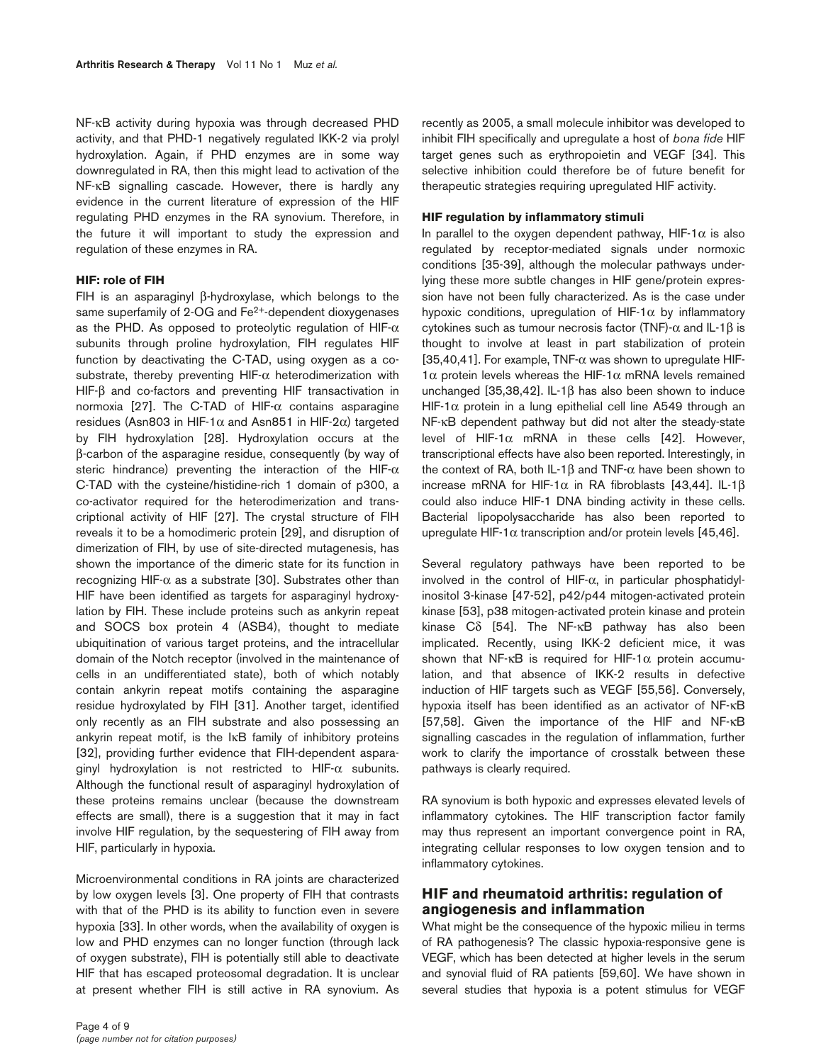NF-κB activity during hypoxia was through decreased PHD activity, and that PHD-1 negatively regulated IKK-2 via prolyl hydroxylation. Again, if PHD enzymes are in some way downregulated in RA, then this might lead to activation of the NF-κB signalling cascade. However, there is hardly any evidence in the current literature of expression of the HIF regulating PHD enzymes in the RA synovium. Therefore, in the future it will important to study the expression and regulation of these enzymes in RA.

#### **HIF: role of FIH**

FIH is an asparaginyl β-hydroxylase, which belongs to the same superfamily of 2-OG and Fe<sup>2+</sup>-dependent dioxygenases as the PHD. As opposed to proteolytic regulation of HIF- $\alpha$ subunits through proline hydroxylation, FIH regulates HIF function by deactivating the C-TAD, using oxygen as a cosubstrate, thereby preventing HIF- $\alpha$  heterodimerization with HIF-β and co-factors and preventing HIF transactivation in normoxia [27]. The C-TAD of HIF- $α$  contains asparagine residues (Asn803 in HIF-1 $\alpha$  and Asn851 in HIF-2 $\alpha$ ) targeted by FIH hydroxylation [28]. Hydroxylation occurs at the β-carbon of the asparagine residue, consequently (by way of steric hindrance) preventing the interaction of the HIF- $\alpha$ C-TAD with the cysteine/histidine-rich 1 domain of p300, a co-activator required for the heterodimerization and transcriptional activity of HIF [27]. The crystal structure of FIH reveals it to be a homodimeric protein [29], and disruption of dimerization of FIH, by use of site-directed mutagenesis, has shown the importance of the dimeric state for its function in recognizing HIF- $\alpha$  as a substrate [30]. Substrates other than HIF have been identified as targets for asparaginyl hydroxylation by FIH. These include proteins such as ankyrin repeat and SOCS box protein 4 (ASB4), thought to mediate ubiquitination of various target proteins, and the intracellular domain of the Notch receptor (involved in the maintenance of cells in an undifferentiated state), both of which notably contain ankyrin repeat motifs containing the asparagine residue hydroxylated by FIH [31]. Another target, identified only recently as an FIH substrate and also possessing an ankyrin repeat motif, is the IκB family of inhibitory proteins [32], providing further evidence that FIH-dependent asparaginyl hydroxylation is not restricted to HIF-α subunits. Although the functional result of asparaginyl hydroxylation of these proteins remains unclear (because the downstream effects are small), there is a suggestion that it may in fact involve HIF regulation, by the sequestering of FIH away from HIF, particularly in hypoxia.

Microenvironmental conditions in RA joints are characterized by low oxygen levels [3]. One property of FIH that contrasts with that of the PHD is its ability to function even in severe hypoxia [33]. In other words, when the availability of oxygen is low and PHD enzymes can no longer function (through lack of oxygen substrate), FIH is potentially still able to deactivate HIF that has escaped proteosomal degradation. It is unclear at present whether FIH is still active in RA synovium. As

recently as 2005, a small molecule inhibitor was developed to inhibit FIH specifically and upregulate a host of *bona fide* HIF target genes such as erythropoietin and VEGF [34]. This selective inhibition could therefore be of future benefit for therapeutic strategies requiring upregulated HIF activity.

#### **HIF regulation by inflammatory stimuli**

In parallel to the oxygen dependent pathway, HIF-1 $\alpha$  is also regulated by receptor-mediated signals under normoxic conditions [35-39], although the molecular pathways underlying these more subtle changes in HIF gene/protein expression have not been fully characterized. As is the case under hypoxic conditions, upregulation of  $HIF-1\alpha$  by inflammatory cytokines such as tumour necrosis factor (TNF)-α and IL-1β is thought to involve at least in part stabilization of protein [35,40,41]. For example, TNF-α was shown to upregulate HIF-1α protein levels whereas the HIF-1α mRNA levels remained unchanged [35,38,42]. IL-1β has also been shown to induce HIF-1 $\alpha$  protein in a lung epithelial cell line A549 through an NF-κB dependent pathway but did not alter the steady-state level of HIF-1α mRNA in these cells [42]. However, transcriptional effects have also been reported. Interestingly, in the context of RA, both IL-1β and TNF-α have been shown to increase mRNA for HIF-1 $α$  in RA fibroblasts [43,44]. IL-1 $β$ could also induce HIF-1 DNA binding activity in these cells. Bacterial lipopolysaccharide has also been reported to upregulate HIF-1 $\alpha$  transcription and/or protein levels [45,46].

Several regulatory pathways have been reported to be involved in the control of HIF- $\alpha$ , in particular phosphatidylinositol 3-kinase [47-52], p42/p44 mitogen-activated protein kinase [53], p38 mitogen-activated protein kinase and protein kinase Cδ [54]. The NF-κB pathway has also been implicated. Recently, using IKK-2 deficient mice, it was shown that NF- $\kappa$ B is required for HIF-1 $\alpha$  protein accumulation, and that absence of IKK-2 results in defective induction of HIF targets such as VEGF [55,56]. Conversely, hypoxia itself has been identified as an activator of NF-κB [57,58]. Given the importance of the HIF and NF-κB signalling cascades in the regulation of inflammation, further work to clarify the importance of crosstalk between these pathways is clearly required.

RA synovium is both hypoxic and expresses elevated levels of inflammatory cytokines. The HIF transcription factor family may thus represent an important convergence point in RA, integrating cellular responses to low oxygen tension and to inflammatory cytokines.

# **HIF and rheumatoid arthritis: regulation of angiogenesis and inflammation**

What might be the consequence of the hypoxic milieu in terms of RA pathogenesis? The classic hypoxia-responsive gene is VEGF, which has been detected at higher levels in the serum and synovial fluid of RA patients [59,60]. We have shown in several studies that hypoxia is a potent stimulus for VEGF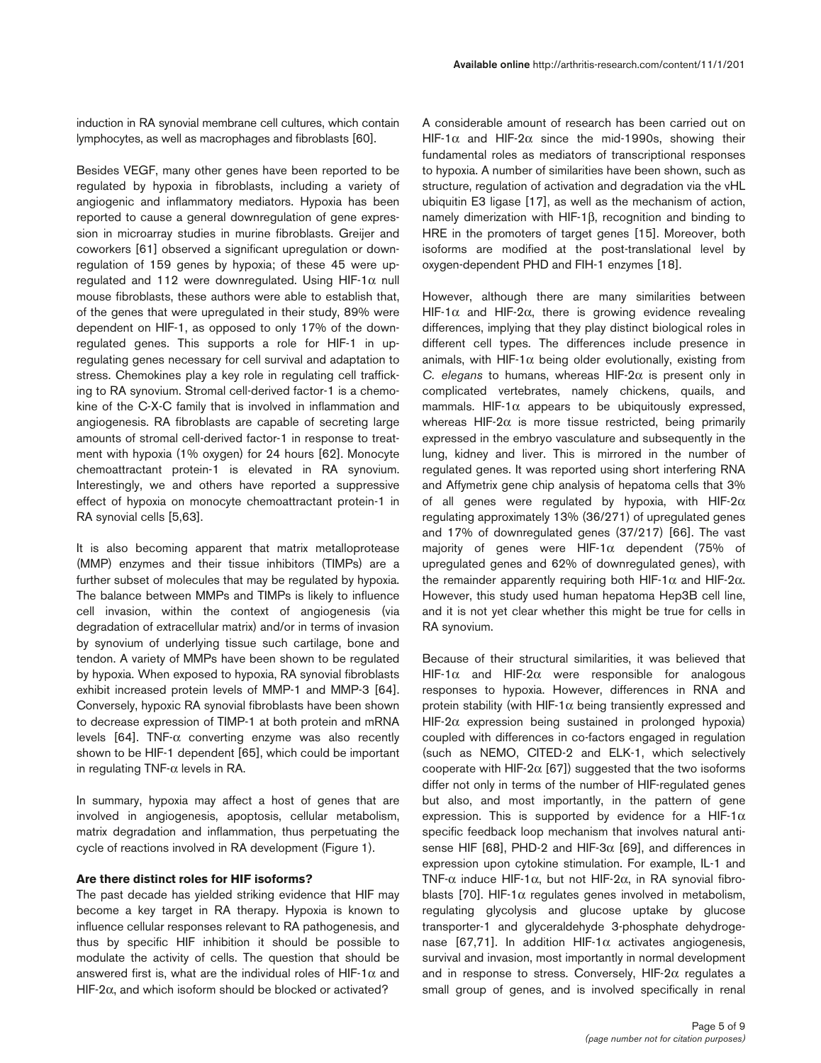induction in RA synovial membrane cell cultures, which contain lymphocytes, as well as macrophages and fibroblasts [60].

Besides VEGF, many other genes have been reported to be regulated by hypoxia in fibroblasts, including a variety of angiogenic and inflammatory mediators. Hypoxia has been reported to cause a general downregulation of gene expression in microarray studies in murine fibroblasts. Greijer and coworkers [61] observed a significant upregulation or downregulation of 159 genes by hypoxia; of these 45 were upregulated and 112 were downregulated. Using HIF-1 $\alpha$  null mouse fibroblasts, these authors were able to establish that, of the genes that were upregulated in their study, 89% were dependent on HIF-1, as opposed to only 17% of the downregulated genes. This supports a role for HIF-1 in upregulating genes necessary for cell survival and adaptation to stress. Chemokines play a key role in regulating cell trafficking to RA synovium. Stromal cell-derived factor-1 is a chemokine of the C-X-C family that is involved in inflammation and angiogenesis. RA fibroblasts are capable of secreting large amounts of stromal cell-derived factor-1 in response to treatment with hypoxia (1% oxygen) for 24 hours [62]. Monocyte chemoattractant protein-1 is elevated in RA synovium. Interestingly, we and others have reported a suppressive effect of hypoxia on monocyte chemoattractant protein-1 in RA synovial cells [5,63].

It is also becoming apparent that matrix metalloprotease (MMP) enzymes and their tissue inhibitors (TIMPs) are a further subset of molecules that may be regulated by hypoxia. The balance between MMPs and TIMPs is likely to influence cell invasion, within the context of angiogenesis (via degradation of extracellular matrix) and/or in terms of invasion by synovium of underlying tissue such cartilage, bone and tendon. A variety of MMPs have been shown to be regulated by hypoxia. When exposed to hypoxia, RA synovial fibroblasts exhibit increased protein levels of MMP-1 and MMP-3 [64]. Conversely, hypoxic RA synovial fibroblasts have been shown to decrease expression of TIMP-1 at both protein and mRNA levels [64]. TNF-α converting enzyme was also recently shown to be HIF-1 dependent [65], which could be important in regulating TNF- $\alpha$  levels in RA.

In summary, hypoxia may affect a host of genes that are involved in angiogenesis, apoptosis, cellular metabolism, matrix degradation and inflammation, thus perpetuating the cycle of reactions involved in RA development (Figure 1).

#### **Are there distinct roles for HIF isoforms?**

The past decade has yielded striking evidence that HIF may become a key target in RA therapy. Hypoxia is known to influence cellular responses relevant to RA pathogenesis, and thus by specific HIF inhibition it should be possible to modulate the activity of cells. The question that should be answered first is, what are the individual roles of HIF-1 $\alpha$  and HIF-2α, and which isoform should be blocked or activated?

A considerable amount of research has been carried out on HIF-1 $\alpha$  and HIF-2 $\alpha$  since the mid-1990s, showing their fundamental roles as mediators of transcriptional responses to hypoxia. A number of similarities have been shown, such as structure, regulation of activation and degradation via the vHL ubiquitin E3 ligase [17], as well as the mechanism of action, namely dimerization with HIF-1β, recognition and binding to HRE in the promoters of target genes [15]. Moreover, both isoforms are modified at the post-translational level by oxygen-dependent PHD and FIH-1 enzymes [18].

However, although there are many similarities between HIF-1 $α$  and HIF-2 $α$ , there is growing evidence revealing differences, implying that they play distinct biological roles in different cell types. The differences include presence in animals, with HIF-1 $\alpha$  being older evolutionally, existing from *C. elegans* to humans, whereas HIF-2α is present only in complicated vertebrates, namely chickens, quails, and mammals. HIF-1 $\alpha$  appears to be ubiquitously expressed, whereas HIF-2 $\alpha$  is more tissue restricted, being primarily expressed in the embryo vasculature and subsequently in the lung, kidney and liver. This is mirrored in the number of regulated genes. It was reported using short interfering RNA and Affymetrix gene chip analysis of hepatoma cells that 3% of all genes were regulated by hypoxia, with HIF-2 $\alpha$ regulating approximately 13% (36/271) of upregulated genes and 17% of downregulated genes (37/217) [66]. The vast majority of genes were HIF-1α dependent (75% of upregulated genes and 62% of downregulated genes), with the remainder apparently requiring both HIF-1α and HIF-2α. However, this study used human hepatoma Hep3B cell line, and it is not yet clear whether this might be true for cells in RA synovium.

Because of their structural similarities, it was believed that HIF-1 $\alpha$  and HIF-2 $\alpha$  were responsible for analogous responses to hypoxia. However, differences in RNA and protein stability (with HIF-1 $\alpha$  being transiently expressed and HIF-2 $\alpha$  expression being sustained in prolonged hypoxia) coupled with differences in co-factors engaged in regulation (such as NEMO, CITED-2 and ELK-1, which selectively cooperate with HIF-2 $\alpha$  [67]) suggested that the two isoforms differ not only in terms of the number of HIF-regulated genes but also, and most importantly, in the pattern of gene expression. This is supported by evidence for a HIF-1 $\alpha$ specific feedback loop mechanism that involves natural antisense HIF [68], PHD-2 and HIF-3 $\alpha$  [69], and differences in expression upon cytokine stimulation. For example, IL-1 and TNF-α induce HIF-1α, but not HIF-2α, in RA synovial fibroblasts [70]. HIF-1 $\alpha$  regulates genes involved in metabolism, regulating glycolysis and glucose uptake by glucose transporter-1 and glyceraldehyde 3-phosphate dehydrogenase [67,71]. In addition HIF-1 $\alpha$  activates angiogenesis, survival and invasion, most importantly in normal development and in response to stress. Conversely, HIF-2 $\alpha$  regulates a small group of genes, and is involved specifically in renal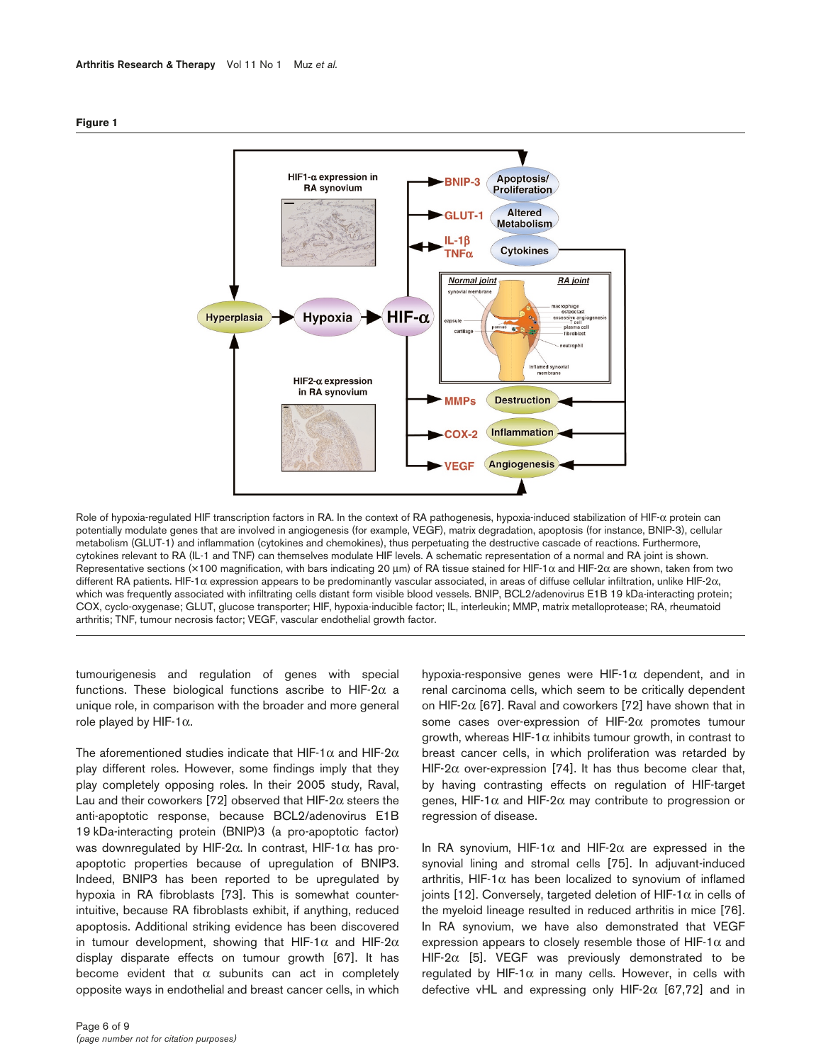



Role of hypoxia-regulated HIF transcription factors in RA. In the context of RA pathogenesis, hypoxia-induced stabilization of HIF-α protein can potentially modulate genes that are involved in angiogenesis (for example, VEGF), matrix degradation, apoptosis (for instance, BNIP-3), cellular metabolism (GLUT-1) and inflammation (cytokines and chemokines), thus perpetuating the destructive cascade of reactions. Furthermore, cytokines relevant to RA (IL-1 and TNF) can themselves modulate HIF levels. A schematic representation of a normal and RA joint is shown. Representative sections (×100 magnification, with bars indicating 20 μm) of RA tissue stained for HIF-1α and HIF-2α are shown, taken from two different RA patients. HIF-1α expression appears to be predominantly vascular associated, in areas of diffuse cellular infiltration, unlike HIF-2α, which was frequently associated with infiltrating cells distant form visible blood vessels. BNIP, BCL2/adenovirus E1B 19 kDa-interacting protein; COX, cyclo-oxygenase; GLUT, glucose transporter; HIF, hypoxia-inducible factor; IL, interleukin; MMP, matrix metalloprotease; RA, rheumatoid arthritis; TNF, tumour necrosis factor; VEGF, vascular endothelial growth factor.

tumourigenesis and regulation of genes with special functions. These biological functions ascribe to HIF-2 $\alpha$  a unique role, in comparison with the broader and more general role played by HIF-1 $α$ .

The aforementioned studies indicate that HIF-1 $\alpha$  and HIF-2 $\alpha$ play different roles. However, some findings imply that they play completely opposing roles. In their 2005 study, Raval, Lau and their coworkers [72] observed that HIF-2 $\alpha$  steers the anti-apoptotic response, because BCL2/adenovirus E1B 19 kDa-interacting protein (BNIP)3 (a pro-apoptotic factor) was downregulated by HIF-2α. In contrast, HIF-1α has proapoptotic properties because of upregulation of BNIP3. Indeed, BNIP3 has been reported to be upregulated by hypoxia in RA fibroblasts [73]. This is somewhat counterintuitive, because RA fibroblasts exhibit, if anything, reduced apoptosis. Additional striking evidence has been discovered in tumour development, showing that HIF-1 $\alpha$  and HIF-2 $\alpha$ display disparate effects on tumour growth [67]. It has become evident that  $\alpha$  subunits can act in completely opposite ways in endothelial and breast cancer cells, in which hypoxia-responsive genes were HIF-1α dependent, and in renal carcinoma cells, which seem to be critically dependent on HIF-2 $\alpha$  [67]. Raval and coworkers [72] have shown that in some cases over-expression of HIF-2α promotes tumour growth, whereas HIF-1 $\alpha$  inhibits tumour growth, in contrast to breast cancer cells, in which proliferation was retarded by HIF-2 $\alpha$  over-expression [74]. It has thus become clear that, by having contrasting effects on regulation of HIF-target genes, HIF-1 $\alpha$  and HIF-2 $\alpha$  may contribute to progression or regression of disease.

In RA synovium, HIF-1 $\alpha$  and HIF-2 $\alpha$  are expressed in the synovial lining and stromal cells [75]. In adjuvant-induced arthritis, HIF-1 $\alpha$  has been localized to synovium of inflamed joints [12]. Conversely, targeted deletion of HIF-1 $\alpha$  in cells of the myeloid lineage resulted in reduced arthritis in mice [76]. In RA synovium, we have also demonstrated that VEGF expression appears to closely resemble those of HIF-1 $\alpha$  and HIF-2 $\alpha$  [5]. VEGF was previously demonstrated to be regulated by HIF-1 $\alpha$  in many cells. However, in cells with defective vHL and expressing only HIF-2 $\alpha$  [67,72] and in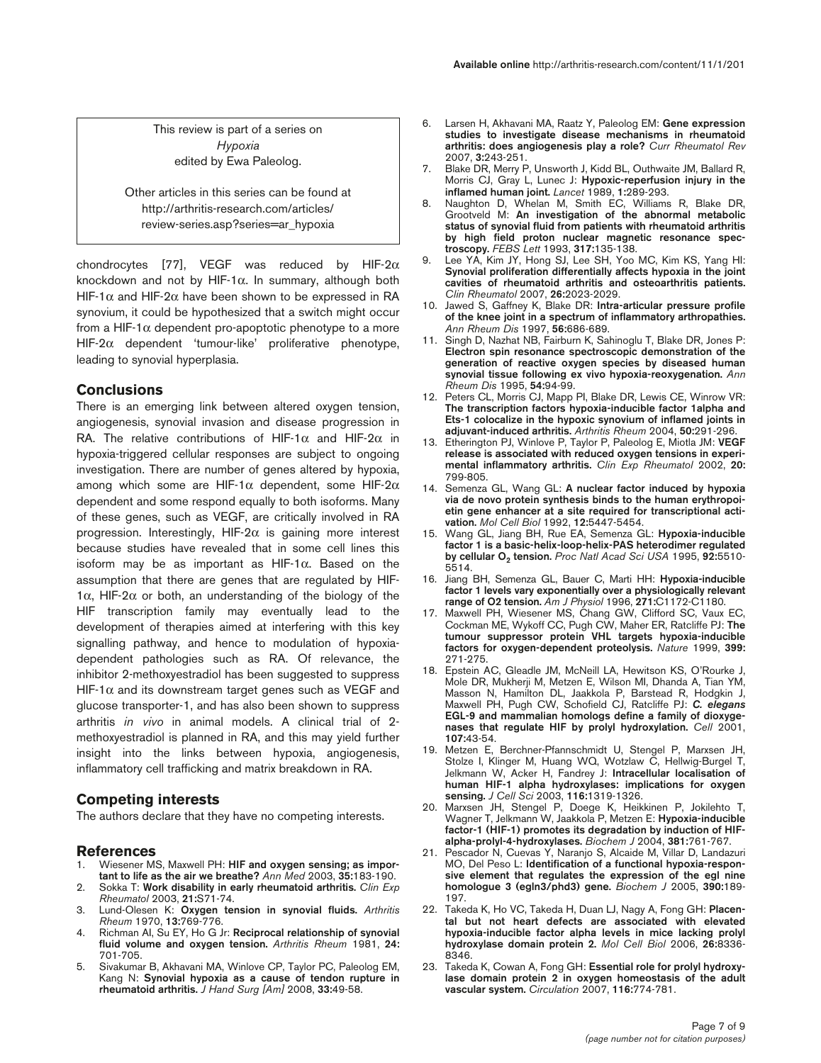This review is part of a series on *Hypoxia* edited by Ewa Paleolog.

Other articles in this series can be found at http://arthritis-research.com/articles/ review-series.asp?series=ar\_hypoxia

chondrocytes [77], VEGF was reduced by HIF-2 $\alpha$ knockdown and not by HIF-1 $\alpha$ . In summary, although both HIF-1 $\alpha$  and HIF-2 $\alpha$  have been shown to be expressed in RA synovium, it could be hypothesized that a switch might occur from a HIF-1 $\alpha$  dependent pro-apoptotic phenotype to a more HIF-2α dependent 'tumour-like' proliferative phenotype, leading to synovial hyperplasia.

## **Conclusions**

There is an emerging link between altered oxygen tension, angiogenesis, synovial invasion and disease progression in RA. The relative contributions of HIF-1 $\alpha$  and HIF-2 $\alpha$  in hypoxia-triggered cellular responses are subject to ongoing investigation. There are number of genes altered by hypoxia, among which some are HIF-1 $α$  dependent, some HIF-2 $α$ dependent and some respond equally to both isoforms. Many of these genes, such as VEGF, are critically involved in RA progression. Interestingly, HIF-2α is gaining more interest because studies have revealed that in some cell lines this isoform may be as important as HIF-1α. Based on the assumption that there are genes that are regulated by HIF-1 $\alpha$ , HIF-2 $\alpha$  or both, an understanding of the biology of the HIF transcription family may eventually lead to the development of therapies aimed at interfering with this key signalling pathway, and hence to modulation of hypoxiadependent pathologies such as RA. Of relevance, the inhibitor 2-methoxyestradiol has been suggested to suppress HIF-1 $\alpha$  and its downstream target genes such as VEGF and glucose transporter-1, and has also been shown to suppress arthritis *in vivo* in animal models. A clinical trial of 2 methoxyestradiol is planned in RA, and this may yield further insight into the links between hypoxia, angiogenesis, inflammatory cell trafficking and matrix breakdown in RA.

#### **Competing interests**

The authors declare that they have no competing interests.

#### **References**

- Wiesener MS, Maxwell PH: HIF and oxygen sensing; as impor**tant to life as the air we breathe?** *Ann Med* 2003, **35:**183-190.
- 2. Sokka T: **Work disability in early rheumatoid arthritis.** *Clin Exp Rheumatol* 2003, **21:**S71-74.
- 3. Lund-Olesen K: **Oxygen tension in synovial fluids.** *Arthritis Rheum* 1970, **13:**769-776.
- 4. Richman AI, Su EY, Ho G Jr: **Reciprocal relationship of synovial fluid volume and oxygen tension.** *Arthritis Rheum* 1981, **24:** 701-705.
- 5. Sivakumar B, Akhavani MA, Winlove CP, Taylor PC, Paleolog EM, Kang N: **Synovial hypoxia as a cause of tendon rupture in rheumatoid arthritis.** *J Hand Surg [Am]* 2008, **33:**49-58.
- 6. Larsen H, Akhavani MA, Raatz Y, Paleolog EM: **Gene expression studies to investigate disease mechanisms in rheumatoid arthritis: does angiogenesis play a role?** *Curr Rheumatol Rev* 2007, **3:**243-251.
- 7. Blake DR, Merry P, Unsworth J, Kidd BL, Outhwaite JM, Ballard R, Morris CJ, Gray L, Lunec J: **Hypoxic-reperfusion injury in the inflamed human joint.** *Lancet* 1989, **1:**289-293.
- 8. Naughton D, Whelan M, Smith EC, Williams R, Blake DR, Grootveld M: **An investigation of the abnormal metabolic status of synovial fluid from patients with rheumatoid arthritis by high field proton nuclear magnetic resonance spectroscopy.** *FEBS Lett* 1993, **317:**135-138.
- Lee YA, Kim JY, Hong SJ, Lee SH, Yoo MC, Kim KS, Yang HI: **Synovial proliferation differentially affects hypoxia in the joint cavities of rheumatoid arthritis and osteoarthritis patients.** *Clin Rheumatol* 2007, **26:**2023-2029.
- 10. Jawed S, Gaffney K, Blake DR: **Intra-articular pressure profile of the knee joint in a spectrum of inflammatory arthropathies.** *Ann Rheum Dis* 1997, **56:**686-689.
- 11. Singh D, Nazhat NB, Fairburn K, Sahinoglu T, Blake DR, Jones P: **Electron spin resonance spectroscopic demonstration of the generation of reactive oxygen species by diseased human synovial tissue following ex vivo hypoxia-reoxygenation.** *Ann Rheum Dis* 1995, **54:**94-99.
- 12. Peters CL, Morris CJ, Mapp PI, Blake DR, Lewis CE, Winrow VR: **The transcription factors hypoxia-inducible factor 1alpha and Ets-1 colocalize in the hypoxic synovium of inflamed joints in adjuvant-induced arthritis.** *Arthritis Rheum* 2004, **50:**291-296.
- 13. Etherington PJ, Winlove P, Taylor P, Paleolog E, Miotla JM: **VEGF release is associated with reduced oxygen tensions in experimental inflammatory arthritis.** *Clin Exp Rheumatol* 2002, **20:** 799-805.
- 14. Semenza GL, Wang GL: **A nuclear factor induced by hypoxia via de novo protein synthesis binds to the human erythropoietin gene enhancer at a site required for transcriptional activation.** *Mol Cell Biol* 1992, **12:**5447-5454.
- 15. Wang GL, Jiang BH, Rue EA, Semenza GL: **Hypoxia-inducible factor 1 is a basic-helix-loop-helix-PAS heterodimer regulated by cellular O2 tension.** *Proc Natl Acad Sci USA* 1995, **92:**5510- 5514.
- 16. Jiang BH, Semenza GL, Bauer C, Marti HH: **Hypoxia-inducible factor 1 levels vary exponentially over a physiologically relevant range of O2 tension.** *Am J Physiol* 1996, **271:**C1172-C1180.
- 17. Maxwell PH, Wiesener MS, Chang GW, Clifford SC, Vaux EC, Cockman ME, Wykoff CC, Pugh CW, Maher ER, Ratcliffe PJ: **The tumour suppressor protein VHL targets hypoxia-inducible factors for oxygen-dependent proteolysis.** *Nature* 1999, **399:** 271-275.
- 18. Epstein AC, Gleadle JM, McNeill LA, Hewitson KS, O'Rourke J, Mole DR, Mukherji M, Metzen E, Wilson MI, Dhanda A, Tian YM, Masson N, Hamilton DL, Jaakkola P, Barstead R, Hodgkin J, Maxwell PH, Pugh CW, Schofield CJ, Ratcliffe PJ: *C. elegans* **EGL-9 and mammalian homologs define a family of dioxygenases that regulate HIF by prolyl hydroxylation.** *Cell* 2001, **107:**43-54.
- 19. Metzen E, Berchner-Pfannschmidt U, Stengel P, Marxsen JH, Stolze I, Klinger M, Huang WQ, Wotzlaw C, Hellwig-Burgel T, Jelkmann W, Acker H, Fandrey J: **Intracellular localisation of human HIF-1 alpha hydroxylases: implications for oxygen sensing.** *J Cell Sci* 2003, **116:**1319-1326.
- 20. Marxsen JH, Stengel P, Doege K, Heikkinen P, Jokilehto T, Wagner T, Jelkmann W, Jaakkola P, Metzen E: **Hypoxia-inducible factor-1 (HIF-1) promotes its degradation by induction of HIFalpha-prolyl-4-hydroxylases.** *Biochem J* 2004, **381:**761-767.
- 21. Pescador N, Cuevas Y, Naranjo S, Alcaide M, Villar D, Landazuri MO, Del Peso L: **Identification of a functional hypoxia-responsive element that regulates the expression of the egl nine homologue 3 (egln3/phd3) gene.** *Biochem J* 2005, **390:**189- 197.
- 22. Takeda K, Ho VC, Takeda H, Duan LJ, Nagy A, Fong GH: **Placental but not heart defects are associated with elevated hypoxia-inducible factor alpha levels in mice lacking prolyl hydroxylase domain protein 2.** *Mol Cell Biol* 2006, **26:**8336- 8346.
- 23. Takeda K, Cowan A, Fong GH: **Essential role for prolyl hydroxylase domain protein 2 in oxygen homeostasis of the adult vascular system.** *Circulation* 2007, **116:**774-781.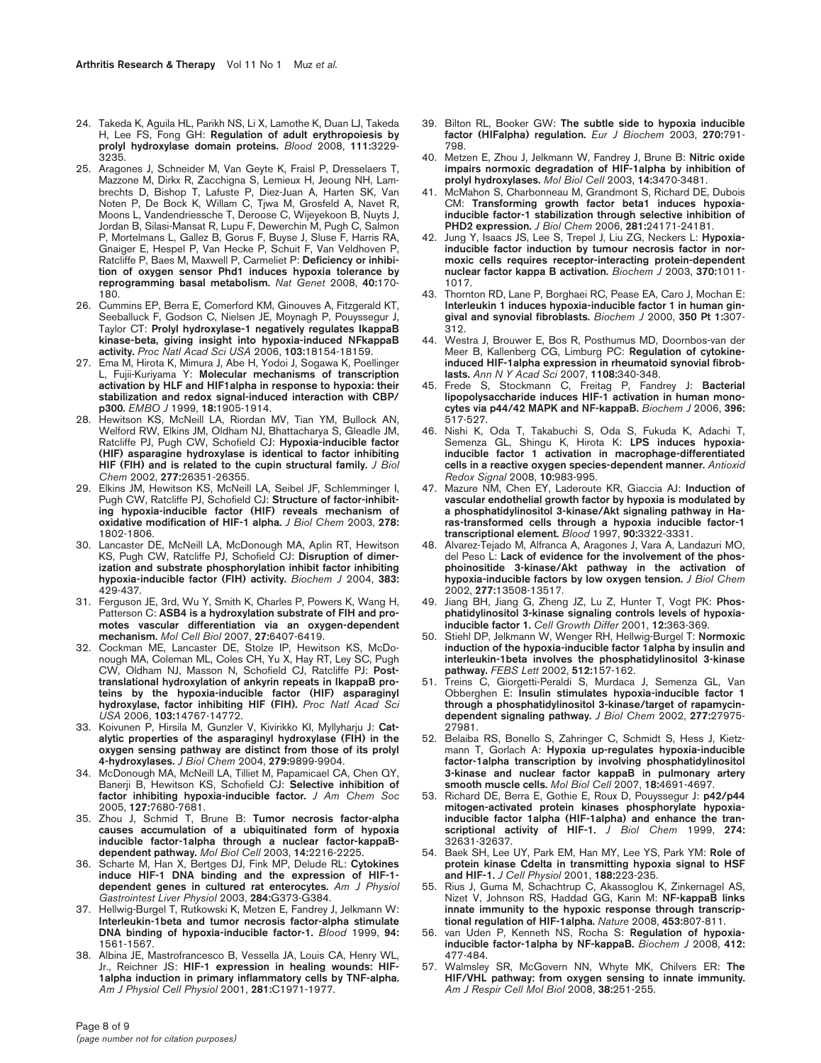- 24. Takeda K, Aguila HL, Parikh NS, Li X, Lamothe K, Duan LJ, Takeda H, Lee FS, Fong GH: **Regulation of adult erythropoiesis by prolyl hydroxylase domain proteins.** *Blood* 2008, **111:**3229- 3235.
- 25. Aragones J, Schneider M, Van Geyte K, Fraisl P, Dresselaers T, Mazzone M, Dirkx R, Zacchigna S, Lemieux H, Jeoung NH, Lambrechts D, Bishop T, Lafuste P, Diez-Juan A, Harten SK, Van Noten P, De Bock K, Willam C, Tjwa M, Grosfeld A, Navet R, Moons L, Vandendriessche T, Deroose C, Wijeyekoon B, Nuyts J, Jordan B, Silasi-Mansat R, Lupu F, Dewerchin M, Pugh C, Salmon P, Mortelmans L, Gallez B, Gorus F, Buyse J, Sluse F, Harris RA, Gnaiger E, Hespel P, Van Hecke P, Schuit F, Van Veldhoven P, Ratcliffe P, Baes M, Maxwell P, Carmeliet P: **Deficiency or inhibition of oxygen sensor Phd1 induces hypoxia tolerance by reprogramming basal metabolism.** *Nat Genet* 2008, **40:**170- 180.
- 26. Cummins EP, Berra E, Comerford KM, Ginouves A, Fitzgerald KT, Seeballuck F, Godson C, Nielsen JE, Moynagh P, Pouyssegur J, Taylor CT: **Prolyl hydroxylase-1 negatively regulates IkappaB kinase-beta, giving insight into hypoxia-induced NFkappaB activity.** *Proc Natl Acad Sci USA* 2006, **103:**18154-18159.
- 27. Ema M, Hirota K, Mimura J, Abe H, Yodoi J, Sogawa K, Poellinger L, Fujii-Kuriyama Y: **Molecular mechanisms of transcription activation by HLF and HIF1alpha in response to hypoxia: their stabilization and redox signal-induced interaction with CBP/ p300.** *EMBO J* 1999, **18:**1905-1914.
- 28. Hewitson KS, McNeill LA, Riordan MV, Tian YM, Bullock AN, Welford RW, Elkins JM, Oldham NJ, Bhattacharya S, Gleadle JM, Ratcliffe PJ, Pugh CW, Schofield CJ: **Hypoxia-inducible factor (HIF) asparagine hydroxylase is identical to factor inhibiting HIF (FIH) and is related to the cupin structural family.** *J Biol Chem* 2002, **277:**26351-26355.
- 29. Elkins JM, Hewitson KS, McNeill LA, Seibel JF, Schlemminger I, Pugh CW, Ratcliffe PJ, Schofield CJ: **Structure of factor-inhibiting hypoxia-inducible factor (HIF) reveals mechanism of oxidative modification of HIF-1 alpha.** *J Biol Chem* 2003, **278:** 1802-1806.
- 30. Lancaster DE, McNeill LA, McDonough MA, Aplin RT, Hewitson KS, Pugh CW, Ratcliffe PJ, Schofield CJ: **Disruption of dimerization and substrate phosphorylation inhibit factor inhibiting hypoxia-inducible factor (FIH) activity.** *Biochem J* 2004, **383:** 429-437.
- 31. Ferguson JE, 3rd, Wu Y, Smith K, Charles P, Powers K, Wang H, Patterson C: ASB4 is a hydroxylation substrate of FIH and pro**motes vascular differentiation via an oxygen-dependent mechanism.** *Mol Cell Biol* 2007, **27:**6407-6419.
- 32. Cockman ME, Lancaster DE, Stolze IP, Hewitson KS, McDonough MA, Coleman ML, Coles CH, Yu X, Hay RT, Ley SC, Pugh CW, Oldham NJ, Masson N, Schofield CJ, Ratcliffe PJ: **Posttranslational hydroxylation of ankyrin repeats in IkappaB proteins by the hypoxia-inducible factor (HIF) asparaginyl hydroxylase, factor inhibiting HIF (FIH).** *Proc Natl Acad Sci USA* 2006, **103:**14767-14772.
- 33. Koivunen P, Hirsila M, Gunzler V, Kivirikko KI, Myllyharju J: **Catalytic properties of the asparaginyl hydroxylase (FIH) in the oxygen sensing pathway are distinct from those of its prolyl 4-hydroxylases.** *J Biol Chem* 2004, **279:**9899-9904.
- 34. McDonough MA, McNeill LA, Tilliet M, Papamicael CA, Chen QY, Banerji B, Hewitson KS, Schofield CJ: **Selective inhibition of factor inhibiting hypoxia-inducible factor.** *J Am Chem Soc* 2005, **127:**7680-7681.
- 35. Zhou J, Schmid T, Brune B: **Tumor necrosis factor-alpha causes accumulation of a ubiquitinated form of hypoxia inducible factor-1alpha through a nuclear factor-kappaBdependent pathway.** *Mol Biol Cell* 2003, **14:**2216-2225.
- 36. Scharte M, Han X, Bertges DJ, Fink MP, Delude RL: **Cytokines induce HIF-1 DNA binding and the expression of HIF-1 dependent genes in cultured rat enterocytes.** *Am J Physiol Gastrointest Liver Physiol* 2003, **284:**G373-G384.
- 37. Hellwig-Burgel T, Rutkowski K, Metzen E, Fandrey J, Jelkmann W: **Interleukin-1beta and tumor necrosis factor-alpha stimulate DNA binding of hypoxia-inducible factor-1.** *Blood* 1999, **94:** 1561-1567.
- 38. Albina JE, Mastrofrancesco B, Vessella JA, Louis CA, Henry WL, Jr., Reichner JS: **HIF-1 expression in healing wounds: HIF-1alpha induction in primary inflammatory cells by TNF-alpha.** *Am J Physiol Cell Physiol* 2001, **281:**C1971-1977.
- 39. Bilton RL, Booker GW: **The subtle side to hypoxia inducible factor (HIFalpha) regulation.** *Eur J Biochem* 2003, **270:**791- 798.
- 40. Metzen E, Zhou J, Jelkmann W, Fandrey J, Brune B: **Nitric oxide impairs normoxic degradation of HIF-1alpha by inhibition of prolyl hydroxylases.** *Mol Biol Cell* 2003, **14:**3470-3481.
- 41. McMahon S, Charbonneau M, Grandmont S, Richard DE, Dubois CM: **Transforming growth factor beta1 induces hypoxiainducible factor-1 stabilization through selective inhibition of PHD2 expression.** *J Biol Chem* 2006, **281:**24171-24181.
- 42. Jung Y, Isaacs JS, Lee S, Trepel J, Liu ZG, Neckers L: **Hypoxiainducible factor induction by tumour necrosis factor in normoxic cells requires receptor-interacting protein-dependent nuclear factor kappa B activation.** *Biochem J* 2003, **370:**1011- 1017.
- 43. Thornton RD, Lane P, Borghaei RC, Pease EA, Caro J, Mochan E: **Interleukin 1 induces hypoxia-inducible factor 1 in human gingival and synovial fibroblasts.** *Biochem J* 2000, **350 Pt 1:**307- 312.
- 44. Westra J, Brouwer E, Bos R, Posthumus MD, Doornbos-van der Meer B, Kallenberg CG, Limburg PC: **Regulation of cytokineinduced HIF-1alpha expression in rheumatoid synovial fibroblasts.** *Ann N Y Acad Sci* 2007, **1108:**340-348.
- 45. Frede S, Stockmann C, Freitag P, Fandrey J: **Bacterial lipopolysaccharide induces HIF-1 activation in human monocytes via p44/42 MAPK and NF-kappaB.** *Biochem J* 2006, **396:** 517-527.
- 46. Nishi K, Oda T, Takabuchi S, Oda S, Fukuda K, Adachi T, Semenza GL, Shingu K, Hirota K: **LPS induces hypoxiainducible factor 1 activation in macrophage-differentiated cells in a reactive oxygen species-dependent manner.** *Antioxid Redox Signal* 2008, **10:**983-995.
- 47. Mazure NM, Chen EY, Laderoute KR, Giaccia AJ: **Induction of vascular endothelial growth factor by hypoxia is modulated by a phosphatidylinositol 3-kinase/Akt signaling pathway in Haras-transformed cells through a hypoxia inducible factor-1 transcriptional element.** *Blood* 1997, **90:**3322-3331.
- 48. Alvarez-Tejado M, Alfranca A, Aragones J, Vara A, Landazuri MO, del Peso L: **Lack of evidence for the involvement of the phosphoinositide 3-kinase/Akt pathway in the activation of hypoxia-inducible factors by low oxygen tension.** *J Biol Chem* 2002, **277:**13508-13517.
- 49. Jiang BH, Jiang G, Zheng JZ, Lu Z, Hunter T, Vogt PK: **Phosphatidylinositol 3-kinase signaling controls levels of hypoxiainducible factor 1.** *Cell Growth Differ* 2001, **12:**363-369.
- 50. Stiehl DP, Jelkmann W, Wenger RH, Hellwig-Burgel T: **Normoxic induction of the hypoxia-inducible factor 1alpha by insulin and interleukin-1beta involves the phosphatidylinositol 3-kinase pathway.** *FEBS Lett* 2002, **512:**157-162.
- 51. Treins C, Giorgetti-Peraldi S, Murdaca J, Semenza GL, Van Obberghen E: **Insulin stimulates hypoxia-inducible factor 1 through a phosphatidylinositol 3-kinase/target of rapamycindependent signaling pathway.** *J Biol Chem* 2002, **277:**27975- 27981.
- 52. Belaiba RS, Bonello S, Zahringer C, Schmidt S, Hess J, Kietzmann T, Gorlach A: **Hypoxia up-regulates hypoxia-inducible factor-1alpha transcription by involving phosphatidylinositol 3-kinase and nuclear factor kappaB in pulmonary artery smooth muscle cells.** *Mol Biol Cell* 2007, **18:**4691-4697.
- 53. Richard DE, Berra E, Gothie E, Roux D, Pouyssegur J: **p42/p44 mitogen-activated protein kinases phosphorylate hypoxiainducible factor 1alpha (HIF-1alpha) and enhance the transcriptional activity of HIF-1.** *J Biol Chem* 1999, **274:** 32631-32637.
- 54. Baek SH, Lee UY, Park EM, Han MY, Lee YS, Park YM: **Role of protein kinase Cdelta in transmitting hypoxia signal to HSF and HIF-1.** *J Cell Physiol* 2001, **188:**223-235.
- 55. Rius J, Guma M, Schachtrup C, Akassoglou K, Zinkernagel AS, Nizet V, Johnson RS, Haddad GG, Karin M: **NF-kappaB links innate immunity to the hypoxic response through transcriptional regulation of HIF-1alpha.** *Nature* 2008, **453:**807-811.
- 56. van Uden P, Kenneth NS, Rocha S: **Regulation of hypoxiainducible factor-1alpha by NF-kappaB.** *Biochem J* 2008, **412:** 477-484.
- 57. Walmsley SR, McGovern NN, Whyte MK, Chilvers ER: **The HIF/VHL pathway: from oxygen sensing to innate immunity.** *Am J Respir Cell Mol Biol* 2008, **38:**251-255.